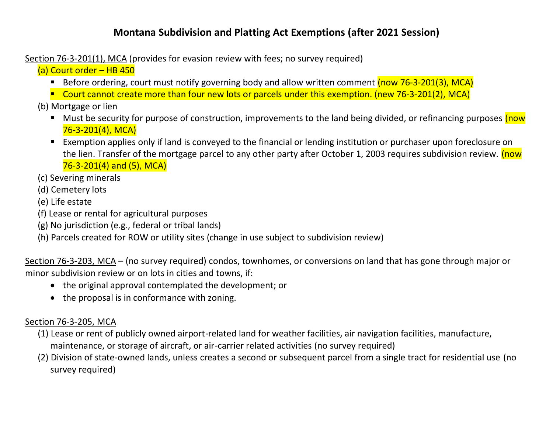## **Montana Subdivision and Platting Act Exemptions (after 2021 Session)**

Section 76-3-201(1), MCA (provides for evasion review with fees; no survey required)

(a) Court order – HB 450

- Before ordering, court must notify governing body and allow written comment (now 76-3-201(3), MCA)
- Court cannot create more than four new lots or parcels under this exemption. (new 76-3-201(2), MCA)
- (b) Mortgage or lien
	- Must be security for purpose of construction, improvements to the land being divided, or refinancing purposes (now 76-3-201(4), MCA)
	- Exemption applies only if land is conveyed to the financial or lending institution or purchaser upon foreclosure on the lien. Transfer of the mortgage parcel to any other party after October 1, 2003 requires subdivision review. (now 76-3-201(4) and (5), MCA)
- (c) Severing minerals
- (d) Cemetery lots
- (e) Life estate
- (f) Lease or rental for agricultural purposes
- (g) No jurisdiction (e.g., federal or tribal lands)
- (h) Parcels created for ROW or utility sites (change in use subject to subdivision review)

Section 76-3-203, MCA – (no survey required) condos, townhomes, or conversions on land that has gone through major or minor subdivision review or on lots in cities and towns, if:

- the original approval contemplated the development; or
- the proposal is in conformance with zoning.

## Section 76-3-205, MCA

- (1) Lease or rent of publicly owned airport-related land for weather facilities, air navigation facilities, manufacture, maintenance, or storage of aircraft, or air-carrier related activities (no survey required)
- (2) Division of state-owned lands, unless creates a second or subsequent parcel from a single tract for residential use (no survey required)